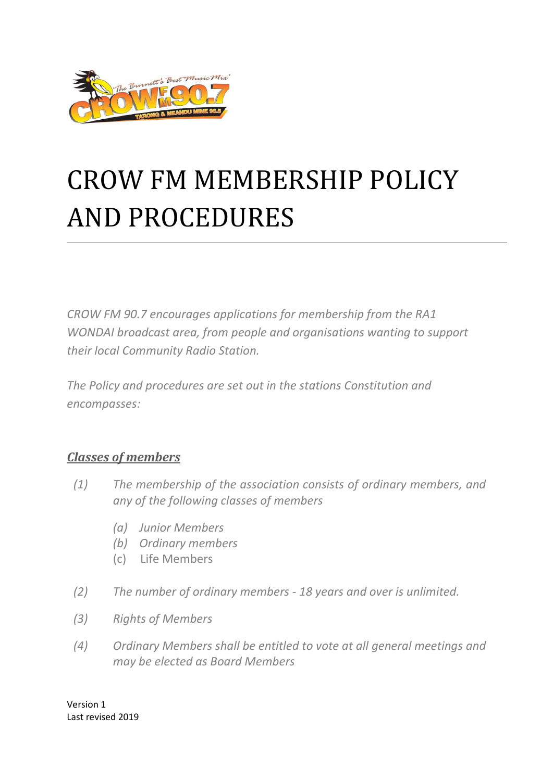

# CROW FM MEMBERSHIP POLICY AND PROCEDURES

*CROW FM 90.7 encourages applications for membership from the RA1 WONDAI broadcast area, from people and organisations wanting to support their local Community Radio Station.*

*The Policy and procedures are set out in the stations Constitution and encompasses:*

#### *Classes of members*

- *(1) The membership of the association consists of ordinary members, and any of the following classes of members*
	- *(a) Junior Members*
	- *(b) Ordinary members*
	- (c) Life Members
- *(2) The number of ordinary members - 18 years and over is unlimited.*
- *(3) Rights of Members*
- *(4) Ordinary Members shall be entitled to vote at all general meetings and may be elected as Board Members*

Version 1 Last revised 2019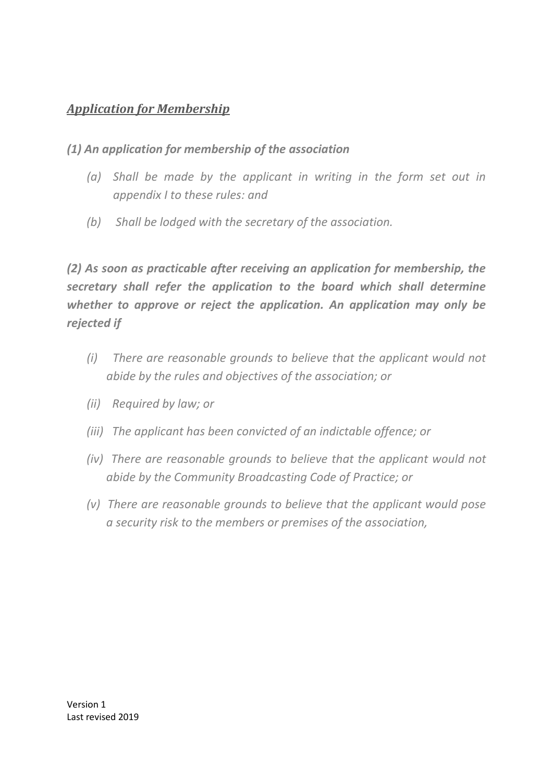## *Application for Membership*

#### *(1) An application for membership of the association*

- *(a) Shall be made by the applicant in writing in the form set out in appendix I to these rules: and*
- *(b) Shall be lodged with the secretary of the association.*

*(2) As soon as practicable after receiving an application for membership, the secretary shall refer the application to the board which shall determine whether to approve or reject the application. An application may only be rejected if*

- *(i) There are reasonable grounds to believe that the applicant would not abide by the rules and objectives of the association; or*
- *(ii) Required by law; or*
- *(iii) The applicant has been convicted of an indictable offence; or*
- *(iv) There are reasonable grounds to believe that the applicant would not abide by the Community Broadcasting Code of Practice; or*
- *(v) There are reasonable grounds to believe that the applicant would pose a security risk to the members or premises of the association,*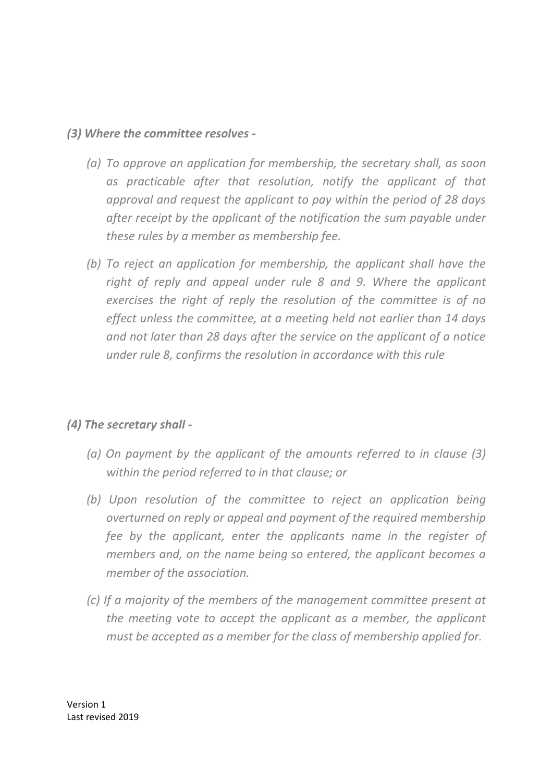#### *(3) Where the committee resolves -*

- *(a) To approve an application for membership, the secretary shall, as soon*  as practicable after that resolution, notify the applicant of that *approval and request the applicant to pay within the period of 28 days after receipt by the applicant of the notification the sum payable under these rules by a member as membership fee.*
- *(b) To reject an application for membership, the applicant shall have the right of reply and appeal under rule 8 and 9. Where the applicant exercises the right of reply the resolution of the committee is of no effect unless the committee, at a meeting held not earlier than 14 days and not later than 28 days after the service on the applicant of a notice under rule 8, confirms the resolution in accordance with this rule*

#### *(4) The secretary shall -*

- *(a) On payment by the applicant of the amounts referred to in clause (3) within the period referred to in that clause; or*
- *(b) Upon resolution of the committee to reject an application being overturned on reply or appeal and payment of the required membership fee by the applicant, enter the applicants name in the register of members and, on the name being so entered, the applicant becomes a member of the association.*
- *(c) If a majority of the members of the management committee present at the meeting vote to accept the applicant as a member, the applicant must be accepted as a member for the class of membership applied for.*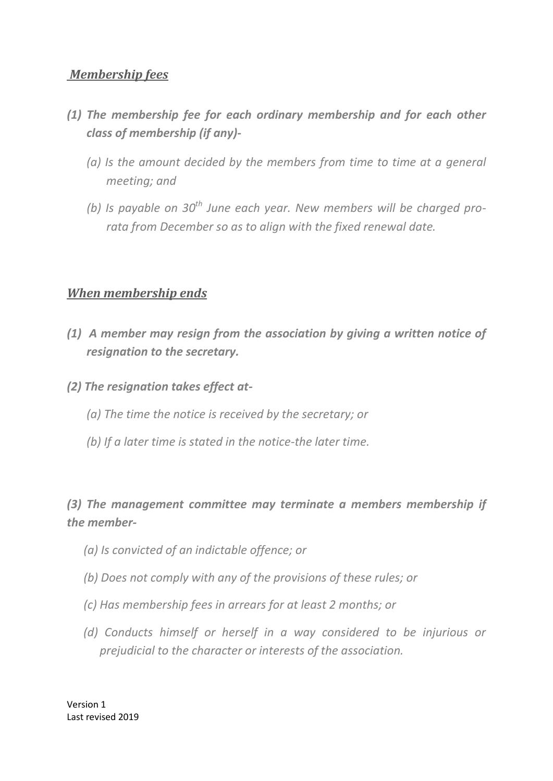#### *Membership fees*

- *(1) The membership fee for each ordinary membership and for each other class of membership (if any)-*
	- *(a) Is the amount decided by the members from time to time at a general meeting; and*
	- *(b) Is payable on 30th June each year. New members will be charged prorata from December so as to align with the fixed renewal date.*

#### *When membership ends*

- *(1) A member may resign from the association by giving a written notice of resignation to the secretary.*
- *(2) The resignation takes effect at-*
	- *(a) The time the notice is received by the secretary; or*
	- *(b) If a later time is stated in the notice-the later time.*

## *(3) The management committee may terminate a members membership if the member-*

- *(a) Is convicted of an indictable offence; or*
- *(b) Does not comply with any of the provisions of these rules; or*
- *(c) Has membership fees in arrears for at least 2 months; or*
- *(d) Conducts himself or herself in a way considered to be injurious or prejudicial to the character or interests of the association.*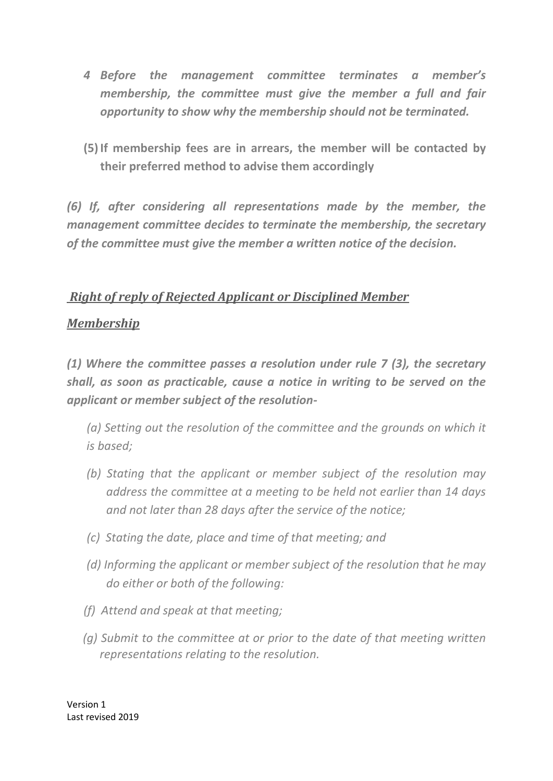- *4 Before the management committee terminates a member's membership, the committee must give the member a full and fair opportunity to show why the membership should not be terminated.*
- **(5)If membership fees are in arrears, the member will be contacted by their preferred method to advise them accordingly**

*(6) If, after considering all representations made by the member, the management committee decides to terminate the membership, the secretary of the committee must give the member a written notice of the decision.*

### *Right of reply of Rejected Applicant or Disciplined Member*

#### *Membership*

*(1) Where the committee passes a resolution under rule 7 (3), the secretary shall, as soon as practicable, cause a notice in writing to be served on the applicant or member subject of the resolution-*

- *(a) Setting out the resolution of the committee and the grounds on which it is based;*
- *(b) Stating that the applicant or member subject of the resolution may address the committee at a meeting to be held not earlier than 14 days and not later than 28 days after the service of the notice;*
- *(c) Stating the date, place and time of that meeting; and*
- *(d) Informing the applicant or member subject of the resolution that he may do either or both of the following:*
- *(f) Attend and speak at that meeting;*
- *(g) Submit to the committee at or prior to the date of that meeting written representations relating to the resolution.*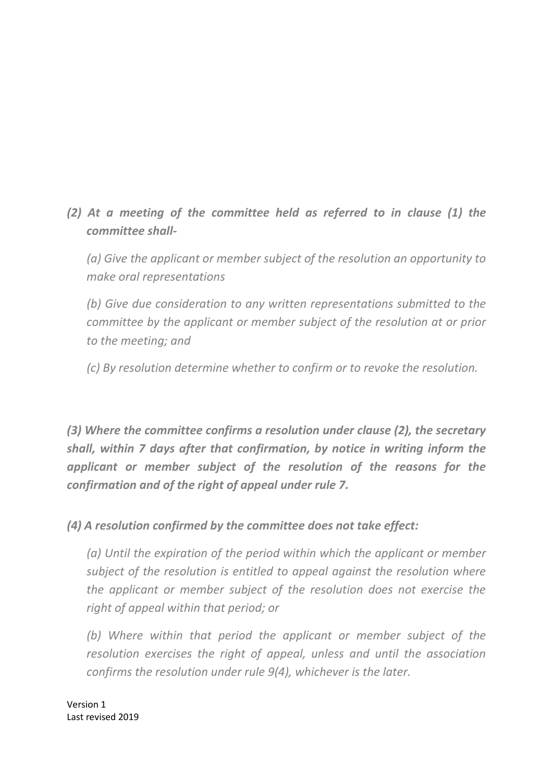*(2) At a meeting of the committee held as referred to in clause (1) the committee shall-*

*(a) Give the applicant or member subject of the resolution an opportunity to make oral representations*

*(b) Give due consideration to any written representations submitted to the committee by the applicant or member subject of the resolution at or prior to the meeting; and*

*(c) By resolution determine whether to confirm or to revoke the resolution.*

*(3) Where the committee confirms a resolution under clause (2), the secretary shall, within 7 days after that confirmation, by notice in writing inform the applicant or member subject of the resolution of the reasons for the confirmation and of the right of appeal under rule 7.*

*(4) A resolution confirmed by the committee does not take effect:*

*(a) Until the expiration of the period within which the applicant or member subject of the resolution is entitled to appeal against the resolution where the applicant or member subject of the resolution does not exercise the right of appeal within that period; or*

*(b) Where within that period the applicant or member subject of the resolution exercises the right of appeal, unless and until the association confirms the resolution under rule 9(4), whichever is the later.*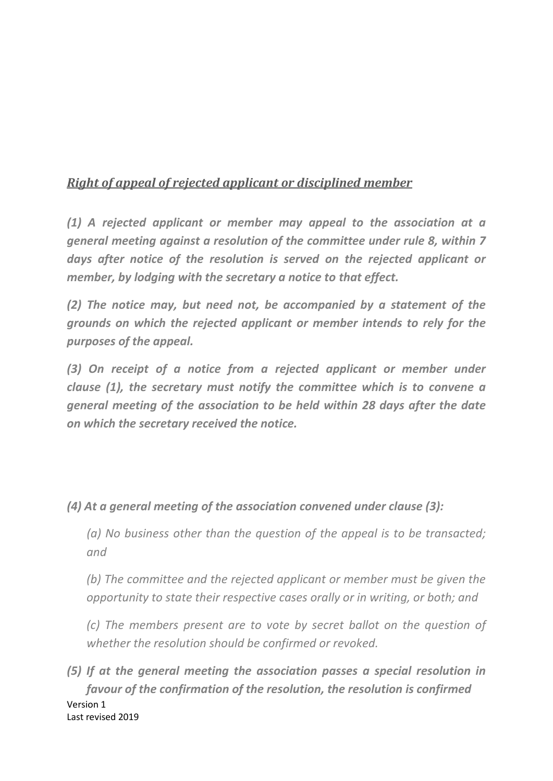# *Right of appeal of rejected applicant or disciplined member*

*(1) A rejected applicant or member may appeal to the association at a general meeting against a resolution of the committee under rule 8, within 7 days after notice of the resolution is served on the rejected applicant or member, by lodging with the secretary a notice to that effect.*

*(2) The notice may, but need not, be accompanied by a statement of the grounds on which the rejected applicant or member intends to rely for the purposes of the appeal.*

*(3) On receipt of a notice from a rejected applicant or member under clause (1), the secretary must notify the committee which is to convene a general meeting of the association to be held within 28 days after the date on which the secretary received the notice.*

*(4) At a general meeting of the association convened under clause (3):*

*(a) No business other than the question of the appeal is to be transacted; and*

*(b) The committee and the rejected applicant or member must be given the opportunity to state their respective cases orally or in writing, or both; and* 

*(c) The members present are to vote by secret ballot on the question of whether the resolution should be confirmed or revoked.*

Version 1 Last revised 2019 *(5) If at the general meeting the association passes a special resolution in favour of the confirmation of the resolution, the resolution is confirmed*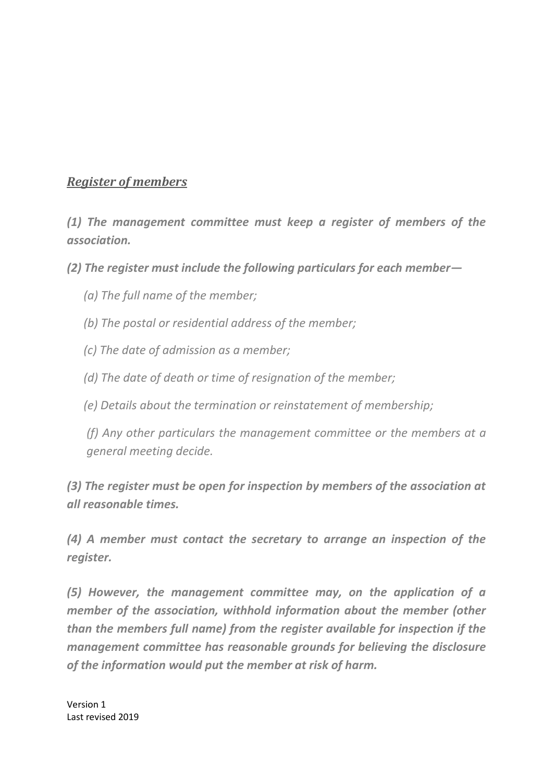#### *Register of members*

*(1) The management committee must keep a register of members of the association.*

*(2) The register must include the following particulars for each member—*

- *(a) The full name of the member;*
- *(b) The postal or residential address of the member;*
- *(c) The date of admission as a member;*
- *(d) The date of death or time of resignation of the member;*
- *(e) Details about the termination or reinstatement of membership;*

*(f) Any other particulars the management committee or the members at a general meeting decide.*

*(3) The register must be open for inspection by members of the association at all reasonable times.*

*(4) A member must contact the secretary to arrange an inspection of the register.*

*(5) However, the management committee may, on the application of a member of the association, withhold information about the member (other than the members full name) from the register available for inspection if the management committee has reasonable grounds for believing the disclosure of the information would put the member at risk of harm.*

Version 1 Last revised 2019